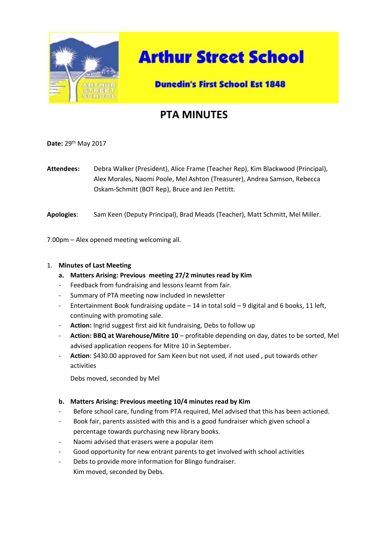

# **Arthur Street School**

### **Dunedin's First School Est 1848**

## **PTA MINUTES**

**Date:** 29th May 2017

**Attendees:** Debra Walker (President), Alice Frame (Teacher Rep), Kim Blackwood (Principal), Alex Morales, Naomi Poole, Mel Ashton (Treasurer), Andrea Samson, Rebecca Oskam-Schmitt (BOT Rep), Bruce and Jen Pettitt.

**Apologies**: Sam Keen (Deputy Principal), Brad Meads (Teacher), Matt Schmitt, Mel Miller.

7.00pm – Alex opened meeting welcoming all.

#### 1. **Minutes of Last Meeting**

- **a. Matters Arising: Previous meeting 27/2 minutes read by Kim**
- Feedback from fundraising and lessons learnt from fair.
- Summary of PTA meeting now included in newsletter
- Entertainment Book fundraising update  $-14$  in total sold  $-9$  digital and 6 books, 11 left, continuing with promoting sale.
- Action: Ingrid suggest first aid kit fundraising, Debs to follow up
- **Action: BBQ at Warehouse/Mitre 10** profitable depending on day, dates to be sorted, Mel advised application reopens for Mitre 10 in September.
- **Action**: \$430.00 approved for Sam Keen but not used, if not used , put towards other activities

Debs moved, seconded by Mel

#### **b. Matters Arising: Previous meeting 10/4 minutes read by Kim**

- Before school care, funding from PTA required, Mel advised that this has been actioned.
- Book fair, parents assisted with this and is a good fundraiser which given school a percentage towards purchasing new library books.
- Naomi advised that erasers were a popular item
- Good opportunity for new entrant parents to get involved with school activities
- Debs to provide more information for Blingo fundraiser. Kim moved, seconded by Debs.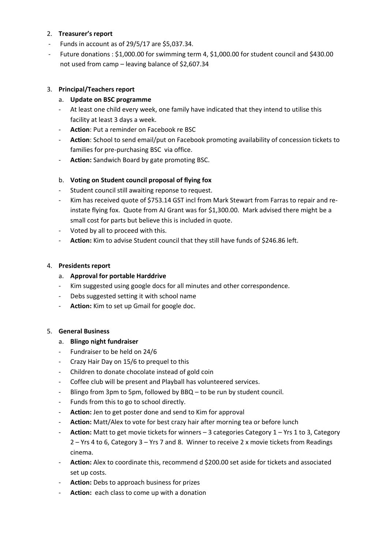#### 2. **Treasurer's report**

- Funds in account as of 29/5/17 are \$5,037.34.
- Future donations : \$1,000.00 for swimming term 4, \$1,000.00 for student council and \$430.00 not used from camp – leaving balance of \$2,607.34

#### 3. **Principal/Teachers report**

- a. **Update on BSC programme**
- At least one child every week, one family have indicated that they intend to utilise this facility at least 3 days a week.
- **Action**: Put a reminder on Facebook re BSC
- **Action**: School to send email/put on Facebook promoting availability of concession tickets to families for pre-purchasing BSC via office.
- Action: Sandwich Board by gate promoting BSC.

#### b. **Voting on Student council proposal of flying fox**

- Student council still awaiting reponse to request.
- Kim has received quote of \$753.14 GST incl from Mark Stewart from Farras to repair and reinstate flying fox. Quote from AJ Grant was for \$1,300.00. Mark advised there might be a small cost for parts but believe this is included in quote.
- Voted by all to proceed with this.
- Action: Kim to advise Student council that they still have funds of \$246.86 left.

#### 4. **Presidents report**

#### a. **Approval for portable Harddrive**

- Kim suggested using google docs for all minutes and other correspondence.
- Debs suggested setting it with school name
- **Action:** Kim to set up Gmail for google doc.

#### 5. **General Business**

#### a. **Blingo night fundraiser**

- Fundraiser to be held on 24/6
- Crazy Hair Day on 15/6 to prequel to this
- Children to donate chocolate instead of gold coin
- Coffee club will be present and Playball has volunteered services.
- Blingo from 3pm to 5pm, followed by BBQ to be run by student council.
- Funds from this to go to school directly.
- Action: Jen to get poster done and send to Kim for approval
- **Action:** Matt/Alex to vote for best crazy hair after morning tea or before lunch
- Action: Matt to get movie tickets for winners 3 categories Category 1 Yrs 1 to 3, Category 2 – Yrs 4 to 6, Category 3 – Yrs 7 and 8. Winner to receive 2 x movie tickets from Readings cinema.
- Action: Alex to coordinate this, recommend d \$200.00 set aside for tickets and associated set up costs.
- **Action:** Debs to approach business for prizes
- Action: each class to come up with a donation